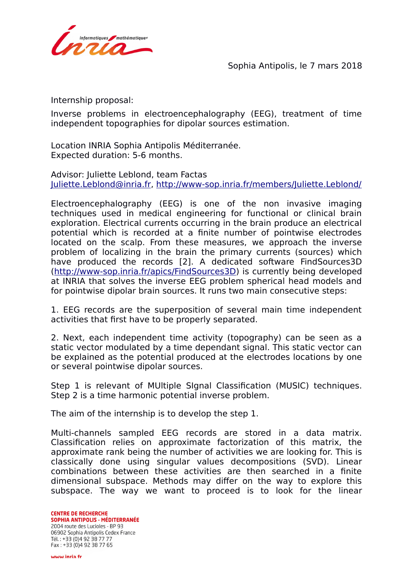

Sophia Antipolis, le 7 mars 2018

Internship proposal:

Inverse problems in electroencephalography (EEG), treatment of time independent topographies for dipolar sources estimation.

Location INRIA Sophia Antipolis Méditerranée. Expected duration: 5-6 months.

Advisor: Juliette Leblond, team Factas [Juliette.Leblond@inria.fr,](mailto:Juliette.Leblond@inria.fr)<http://www-sop.inria.fr/members/Juliette.Leblond/>

Electroencephalography (EEG) is one of the non invasive imaging techniques used in medical engineering for functional or clinical brain exploration. Electrical currents occurring in the brain produce an electrical potential which is recorded at a finite number of pointwise electrodes located on the scalp. From these measures, we approach the inverse problem of localizing in the brain the primary currents (sources) which have produced the records [2]. A dedicated software FindSources3D [\(http://www-sop.inria.fr/apics/FindSources3D\)](http://www-sop.inria.fr/apics/FindSources3D) is currently being developed at INRIA that solves the inverse EEG problem spherical head models and for pointwise dipolar brain sources. It runs two main consecutive steps:

1. EEG records are the superposition of several main time independent activities that first have to be properly separated.

2. Next, each independent time activity (topography) can be seen as a static vector modulated by a time dependant signal. This static vector can be explained as the potential produced at the electrodes locations by one or several pointwise dipolar sources.

Step 1 is relevant of MUltiple SIgnal Classification (MUSIC) techniques. Step 2 is a time harmonic potential inverse problem.

The aim of the internship is to develop the step 1.

Multi-channels sampled EEG records are stored in a data matrix. Classification relies on approximate factorization of this matrix, the approximate rank being the number of activities we are looking for. This is classically done using singular values decompositions (SVD). Linear combinations between these activities are then searched in a finite dimensional subspace. Methods may differ on the way to explore this subspace. The way we want to proceed is to look for the linear